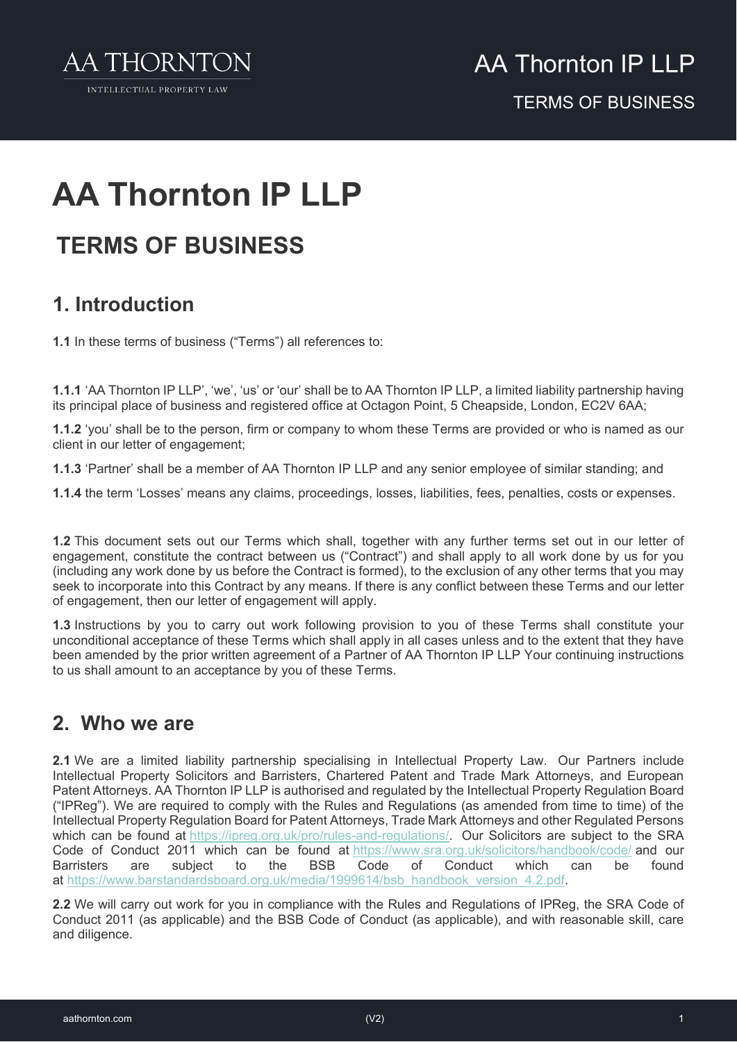

## **AA Thornton IP LLP**

### **TERMS OF BUSINESS**

### **1. Introduction**

**1.1** In these terms of business ("Terms") all references to:

**1.1.1** 'AA Thornton IP LLP', 'we', 'us' or 'our' shall be to AA Thornton IP LLP, a limited liability partnership having its principal place of business and registered office at Octagon Point, 5 Cheapside, London, EC2V 6AA;

**1.1.2** 'you' shall be to the person, firm or company to whom these Terms are provided or who is named as our client in our letter of engagement;

**1.1.3** 'Partner' shall be a member of AA Thornton IP LLP and any senior employee of similar standing; and

**1.1.4** the term 'Losses' means any claims, proceedings, losses, liabilities, fees, penalties, costs or expenses.

**1.2** This document sets out our Terms which shall, together with any further terms set out in our letter of engagement, constitute the contract between us ("Contract") and shall apply to all work done by us for you (including any work done by us before the Contract is formed), to the exclusion of any other terms that you may seek to incorporate into this Contract by any means. If there is any conflict between these Terms and our letter of engagement, then our letter of engagement will apply.

**1.3** Instructions by you to carry out work following provision to you of these Terms shall constitute your unconditional acceptance of these Terms which shall apply in all cases unless and to the extent that they have been amended by the prior written agreement of a Partner of AA Thornton IP LLP Your continuing instructions to us shall amount to an acceptance by you of these Terms.

### **2. Who we are**

**2.1** We are a limited liability partnership specialising in Intellectual Property Law. Our Partners include Intellectual Property Solicitors and Barristers, Chartered Patent and Trade Mark Attorneys, and European Patent Attorneys. AA Thornton IP LLP is authorised and regulated by the Intellectual Property Regulation Board ("IPReg"). We are required to comply with the Rules and Regulations (as amended from time to time) of the Intellectual Property Regulation Board for Patent Attorneys, Trade Mark Attorneys and other Regulated Persons which can be found at [https://ipreg.org.uk/pro/rules-and-regulations/.](https://ipreg.org.uk/pro/rules-and-regulations/) Our Solicitors are subject to the SRA Code of Conduct 2011 which can be found at <https://www.sra.org.uk/solicitors/handbook/code/> and our Barristers are subject to the BSB Code of Conduct which can be found at [https://www.barstandardsboard.org.uk/media/1999614/bsb\\_handbook\\_version\\_4.2.pdf.](https://www.barstandardsboard.org.uk/media/1999614/bsb_handbook_version_4.2.pdf)

**2.2** We will carry out work for you in compliance with the Rules and Regulations of IPReg, the SRA Code of Conduct 2011 (as applicable) and the BSB Code of Conduct (as applicable), and with reasonable skill, care and diligence.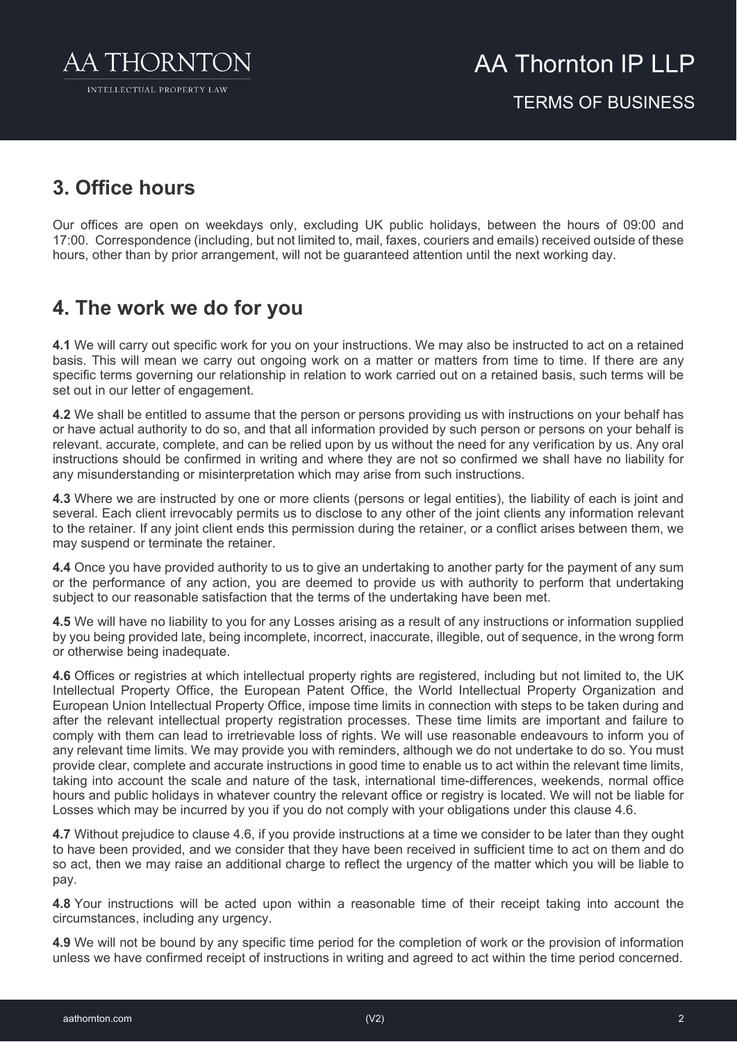

### **3. Office hours**

Our offices are open on weekdays only, excluding UK public holidays, between the hours of 09:00 and 17:00. Correspondence (including, but not limited to, mail, faxes, couriers and emails) received outside of these hours, other than by prior arrangement, will not be guaranteed attention until the next working day.

### **4. The work we do for you**

**4.1** We will carry out specific work for you on your instructions. We may also be instructed to act on a retained basis. This will mean we carry out ongoing work on a matter or matters from time to time. If there are any specific terms governing our relationship in relation to work carried out on a retained basis, such terms will be set out in our letter of engagement.

**4.2** We shall be entitled to assume that the person or persons providing us with instructions on your behalf has or have actual authority to do so, and that all information provided by such person or persons on your behalf is relevant. accurate, complete, and can be relied upon by us without the need for any verification by us. Any oral instructions should be confirmed in writing and where they are not so confirmed we shall have no liability for any misunderstanding or misinterpretation which may arise from such instructions.

**4.3** Where we are instructed by one or more clients (persons or legal entities), the liability of each is joint and several. Each client irrevocably permits us to disclose to any other of the joint clients any information relevant to the retainer. If any joint client ends this permission during the retainer, or a conflict arises between them, we may suspend or terminate the retainer.

**4.4** Once you have provided authority to us to give an undertaking to another party for the payment of any sum or the performance of any action, you are deemed to provide us with authority to perform that undertaking subject to our reasonable satisfaction that the terms of the undertaking have been met.

**4.5** We will have no liability to you for any Losses arising as a result of any instructions or information supplied by you being provided late, being incomplete, incorrect, inaccurate, illegible, out of sequence, in the wrong form or otherwise being inadequate.

**4.6** Offices or registries at which intellectual property rights are registered, including but not limited to, the UK Intellectual Property Office, the European Patent Office, the World Intellectual Property Organization and European Union Intellectual Property Office, impose time limits in connection with steps to be taken during and after the relevant intellectual property registration processes. These time limits are important and failure to comply with them can lead to irretrievable loss of rights. We will use reasonable endeavours to inform you of any relevant time limits. We may provide you with reminders, although we do not undertake to do so. You must provide clear, complete and accurate instructions in good time to enable us to act within the relevant time limits, taking into account the scale and nature of the task, international time-differences, weekends, normal office hours and public holidays in whatever country the relevant office or registry is located. We will not be liable for Losses which may be incurred by you if you do not comply with your obligations under this clause 4.6.

**4.7** Without prejudice to clause 4.6, if you provide instructions at a time we consider to be later than they ought to have been provided, and we consider that they have been received in sufficient time to act on them and do so act, then we may raise an additional charge to reflect the urgency of the matter which you will be liable to pay.

**4.8** Your instructions will be acted upon within a reasonable time of their receipt taking into account the circumstances, including any urgency.

**4.9** We will not be bound by any specific time period for the completion of work or the provision of information unless we have confirmed receipt of instructions in writing and agreed to act within the time period concerned.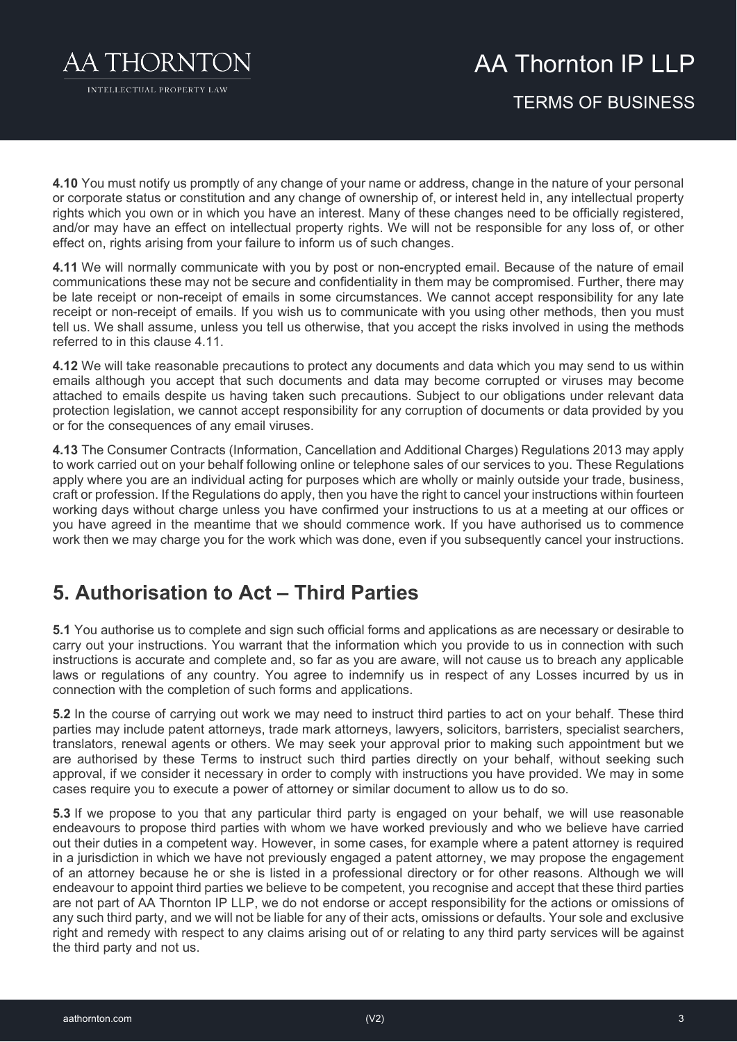

INTELLECTUAL PROPERTY LAW

### AA Thornton IP I I P TERMS OF BUSINESS

**4.10** You must notify us promptly of any change of your name or address, change in the nature of your personal or corporate status or constitution and any change of ownership of, or interest held in, any intellectual property rights which you own or in which you have an interest. Many of these changes need to be officially registered, and/or may have an effect on intellectual property rights. We will not be responsible for any loss of, or other effect on, rights arising from your failure to inform us of such changes.

**4.11** We will normally communicate with you by post or non-encrypted email. Because of the nature of email communications these may not be secure and confidentiality in them may be compromised. Further, there may be late receipt or non-receipt of emails in some circumstances. We cannot accept responsibility for any late receipt or non-receipt of emails. If you wish us to communicate with you using other methods, then you must tell us. We shall assume, unless you tell us otherwise, that you accept the risks involved in using the methods referred to in this clause 4.11.

**4.12** We will take reasonable precautions to protect any documents and data which you may send to us within emails although you accept that such documents and data may become corrupted or viruses may become attached to emails despite us having taken such precautions. Subject to our obligations under relevant data protection legislation, we cannot accept responsibility for any corruption of documents or data provided by you or for the consequences of any email viruses.

**4.13** The Consumer Contracts (Information, Cancellation and Additional Charges) Regulations 2013 may apply to work carried out on your behalf following online or telephone sales of our services to you. These Regulations apply where you are an individual acting for purposes which are wholly or mainly outside your trade, business, craft or profession. If the Regulations do apply, then you have the right to cancel your instructions within fourteen working days without charge unless you have confirmed your instructions to us at a meeting at our offices or you have agreed in the meantime that we should commence work. If you have authorised us to commence work then we may charge you for the work which was done, even if you subsequently cancel your instructions.

### **5. Authorisation to Act – Third Parties**

**5.1** You authorise us to complete and sign such official forms and applications as are necessary or desirable to carry out your instructions. You warrant that the information which you provide to us in connection with such instructions is accurate and complete and, so far as you are aware, will not cause us to breach any applicable laws or regulations of any country. You agree to indemnify us in respect of any Losses incurred by us in connection with the completion of such forms and applications.

**5.2** In the course of carrying out work we may need to instruct third parties to act on your behalf. These third parties may include patent attorneys, trade mark attorneys, lawyers, solicitors, barristers, specialist searchers, translators, renewal agents or others. We may seek your approval prior to making such appointment but we are authorised by these Terms to instruct such third parties directly on your behalf, without seeking such approval, if we consider it necessary in order to comply with instructions you have provided. We may in some cases require you to execute a power of attorney or similar document to allow us to do so.

**5.3** If we propose to you that any particular third party is engaged on your behalf, we will use reasonable endeavours to propose third parties with whom we have worked previously and who we believe have carried out their duties in a competent way. However, in some cases, for example where a patent attorney is required in a jurisdiction in which we have not previously engaged a patent attorney, we may propose the engagement of an attorney because he or she is listed in a professional directory or for other reasons. Although we will endeavour to appoint third parties we believe to be competent, you recognise and accept that these third parties are not part of AA Thornton IP LLP, we do not endorse or accept responsibility for the actions or omissions of any such third party, and we will not be liable for any of their acts, omissions or defaults. Your sole and exclusive right and remedy with respect to any claims arising out of or relating to any third party services will be against the third party and not us.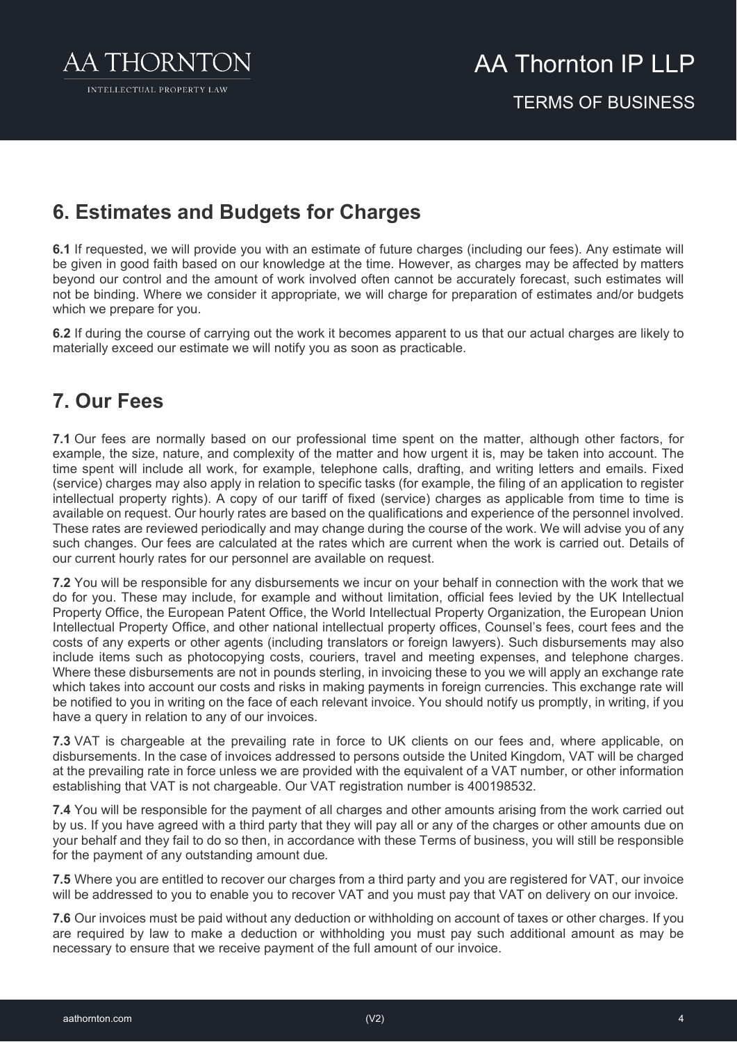

### **6. Estimates and Budgets for Charges**

**6.1** If requested, we will provide you with an estimate of future charges (including our fees). Any estimate will be given in good faith based on our knowledge at the time. However, as charges may be affected by matters beyond our control and the amount of work involved often cannot be accurately forecast, such estimates will not be binding. Where we consider it appropriate, we will charge for preparation of estimates and/or budgets which we prepare for you.

**6.2** If during the course of carrying out the work it becomes apparent to us that our actual charges are likely to materially exceed our estimate we will notify you as soon as practicable.

### **7. Our Fees**

**7.1** Our fees are normally based on our professional time spent on the matter, although other factors, for example, the size, nature, and complexity of the matter and how urgent it is, may be taken into account. The time spent will include all work, for example, telephone calls, drafting, and writing letters and emails. Fixed (service) charges may also apply in relation to specific tasks (for example, the filing of an application to register intellectual property rights). A copy of our tariff of fixed (service) charges as applicable from time to time is available on request. Our hourly rates are based on the qualifications and experience of the personnel involved. These rates are reviewed periodically and may change during the course of the work. We will advise you of any such changes. Our fees are calculated at the rates which are current when the work is carried out. Details of our current hourly rates for our personnel are available on request.

**7.2** You will be responsible for any disbursements we incur on your behalf in connection with the work that we do for you. These may include, for example and without limitation, official fees levied by the UK Intellectual Property Office, the European Patent Office, the World Intellectual Property Organization, the European Union Intellectual Property Office, and other national intellectual property offices, Counsel's fees, court fees and the costs of any experts or other agents (including translators or foreign lawyers). Such disbursements may also include items such as photocopying costs, couriers, travel and meeting expenses, and telephone charges. Where these disbursements are not in pounds sterling, in invoicing these to you we will apply an exchange rate which takes into account our costs and risks in making payments in foreign currencies. This exchange rate will be notified to you in writing on the face of each relevant invoice. You should notify us promptly, in writing, if you have a query in relation to any of our invoices.

**7.3** VAT is chargeable at the prevailing rate in force to UK clients on our fees and, where applicable, on disbursements. In the case of invoices addressed to persons outside the United Kingdom, VAT will be charged at the prevailing rate in force unless we are provided with the equivalent of a VAT number, or other information establishing that VAT is not chargeable. Our VAT registration number is 400198532.

**7.4** You will be responsible for the payment of all charges and other amounts arising from the work carried out by us. If you have agreed with a third party that they will pay all or any of the charges or other amounts due on your behalf and they fail to do so then, in accordance with these Terms of business, you will still be responsible for the payment of any outstanding amount due*.*

**7.5** Where you are entitled to recover our charges from a third party and you are registered for VAT, our invoice will be addressed to you to enable you to recover VAT and you must pay that VAT on delivery on our invoice*.*

**7.6** Our invoices must be paid without any deduction or withholding on account of taxes or other charges*.* If you are required by law to make a deduction or withholding you must pay such additional amount as may be necessary to ensure that we receive payment of the full amount of our invoice.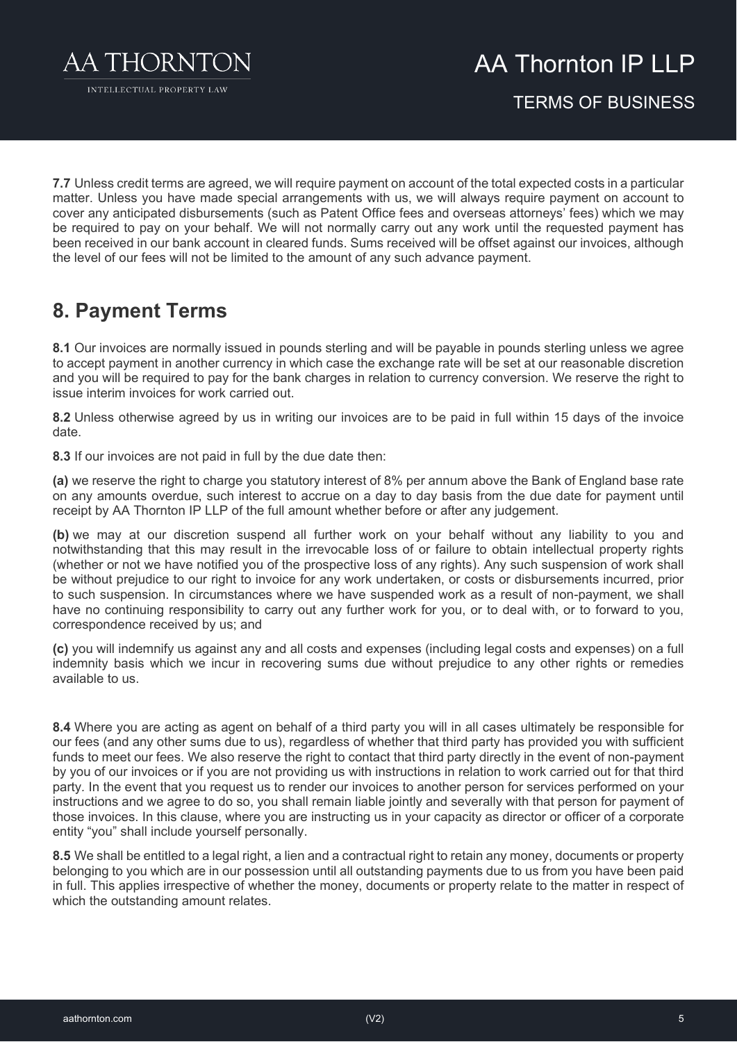

AA Thornton IP I I P

TERMS OF BUSINESS

**7.7** Unless credit terms are agreed, we will require payment on account of the total expected costs in a particular matter. Unless you have made special arrangements with us, we will always require payment on account to cover any anticipated disbursements (such as Patent Office fees and overseas attorneys' fees) which we may be required to pay on your behalf. We will not normally carry out any work until the requested payment has been received in our bank account in cleared funds. Sums received will be offset against our invoices, although the level of our fees will not be limited to the amount of any such advance payment.

### **8. Payment Terms**

**8.1** Our invoices are normally issued in pounds sterling and will be payable in pounds sterling unless we agree to accept payment in another currency in which case the exchange rate will be set at our reasonable discretion and you will be required to pay for the bank charges in relation to currency conversion. We reserve the right to issue interim invoices for work carried out.

**8.2** Unless otherwise agreed by us in writing our invoices are to be paid in full within 15 days of the invoice date.

**8.3** If our invoices are not paid in full by the due date then:

**(a)** we reserve the right to charge you statutory interest of 8% per annum above the Bank of England base rate on any amounts overdue, such interest to accrue on a day to day basis from the due date for payment until receipt by AA Thornton IP LLP of the full amount whether before or after any judgement.

**(b)** we may at our discretion suspend all further work on your behalf without any liability to you and notwithstanding that this may result in the irrevocable loss of or failure to obtain intellectual property rights (whether or not we have notified you of the prospective loss of any rights). Any such suspension of work shall be without prejudice to our right to invoice for any work undertaken, or costs or disbursements incurred, prior to such suspension. In circumstances where we have suspended work as a result of non-payment, we shall have no continuing responsibility to carry out any further work for you, or to deal with, or to forward to you, correspondence received by us; and

**(c)** you will indemnify us against any and all costs and expenses (including legal costs and expenses) on a full indemnity basis which we incur in recovering sums due without prejudice to any other rights or remedies available to us.

**8.4** Where you are acting as agent on behalf of a third party you will in all cases ultimately be responsible for our fees (and any other sums due to us), regardless of whether that third party has provided you with sufficient funds to meet our fees. We also reserve the right to contact that third party directly in the event of non-payment by you of our invoices or if you are not providing us with instructions in relation to work carried out for that third party*.* In the event that you request us to render our invoices to another person for services performed on your instructions and we agree to do so, you shall remain liable jointly and severally with that person for payment of those invoices. In this clause, where you are instructing us in your capacity as director or officer of a corporate entity "you" shall include yourself personally.

**8.5** We shall be entitled to a legal right, a lien and a contractual right to retain any money, documents or property belonging to you which are in our possession until all outstanding payments due to us from you have been paid in full. This applies irrespective of whether the money, documents or property relate to the matter in respect of which the outstanding amount relates.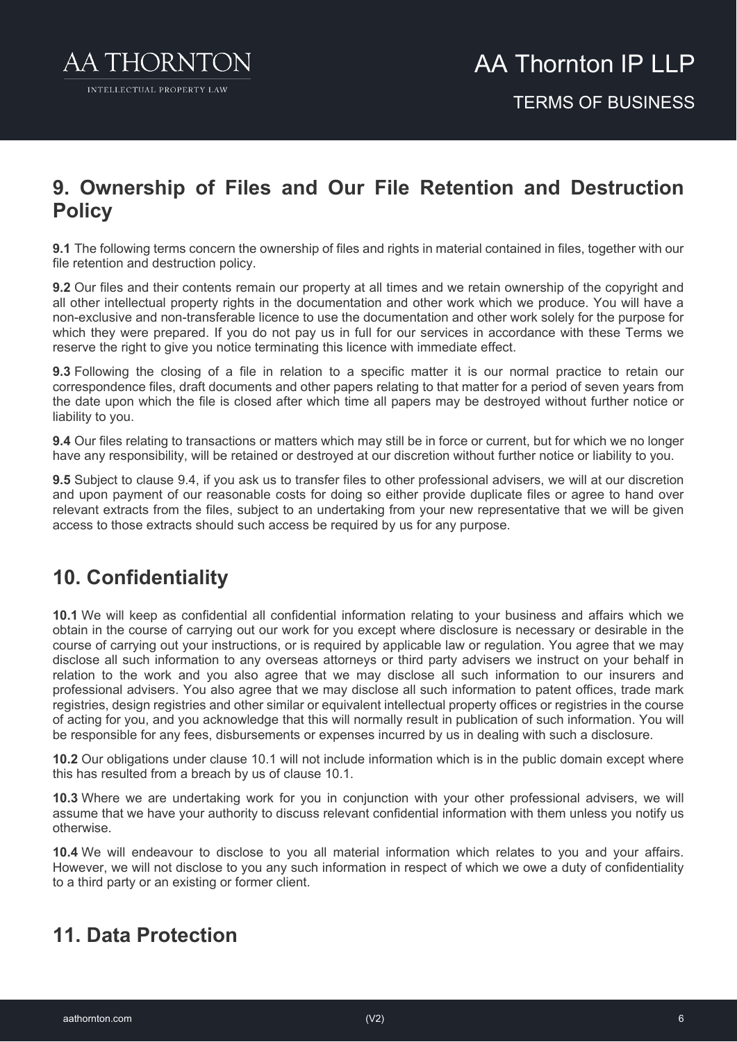

### **9. Ownership of Files and Our File Retention and Destruction Policy**

**9.1** The following terms concern the ownership of files and rights in material contained in files, together with our file retention and destruction policy.

**9.2** Our files and their contents remain our property at all times and we retain ownership of the copyright and all other intellectual property rights in the documentation and other work which we produce. You will have a non-exclusive and non-transferable licence to use the documentation and other work solely for the purpose for which they were prepared. If you do not pay us in full for our services in accordance with these Terms we reserve the right to give you notice terminating this licence with immediate effect.

**9.3** Following the closing of a file in relation to a specific matter it is our normal practice to retain our correspondence files, draft documents and other papers relating to that matter for a period of seven years from the date upon which the file is closed after which time all papers may be destroyed without further notice or liability to you.

**9.4** Our files relating to transactions or matters which may still be in force or current, but for which we no longer have any responsibility, will be retained or destroyed at our discretion without further notice or liability to you.

**9.5** Subject to clause 9.4, if you ask us to transfer files to other professional advisers, we will at our discretion and upon payment of our reasonable costs for doing so either provide duplicate files or agree to hand over relevant extracts from the files, subject to an undertaking from your new representative that we will be given access to those extracts should such access be required by us for any purpose.

### **10. Confidentiality**

**10.1** We will keep as confidential all confidential information relating to your business and affairs which we obtain in the course of carrying out our work for you except where disclosure is necessary or desirable in the course of carrying out your instructions, or is required by applicable law or regulation. You agree that we may disclose all such information to any overseas attorneys or third party advisers we instruct on your behalf in relation to the work and you also agree that we may disclose all such information to our insurers and professional advisers. You also agree that we may disclose all such information to patent offices, trade mark registries, design registries and other similar or equivalent intellectual property offices or registries in the course of acting for you, and you acknowledge that this will normally result in publication of such information. You will be responsible for any fees, disbursements or expenses incurred by us in dealing with such a disclosure.

**10.2** Our obligations under clause 10.1 will not include information which is in the public domain except where this has resulted from a breach by us of clause 10.1.

**10.3** Where we are undertaking work for you in conjunction with your other professional advisers, we will assume that we have your authority to discuss relevant confidential information with them unless you notify us otherwise.

**10.4** We will endeavour to disclose to you all material information which relates to you and your affairs. However, we will not disclose to you any such information in respect of which we owe a duty of confidentiality to a third party or an existing or former client.

### **11. Data Protection**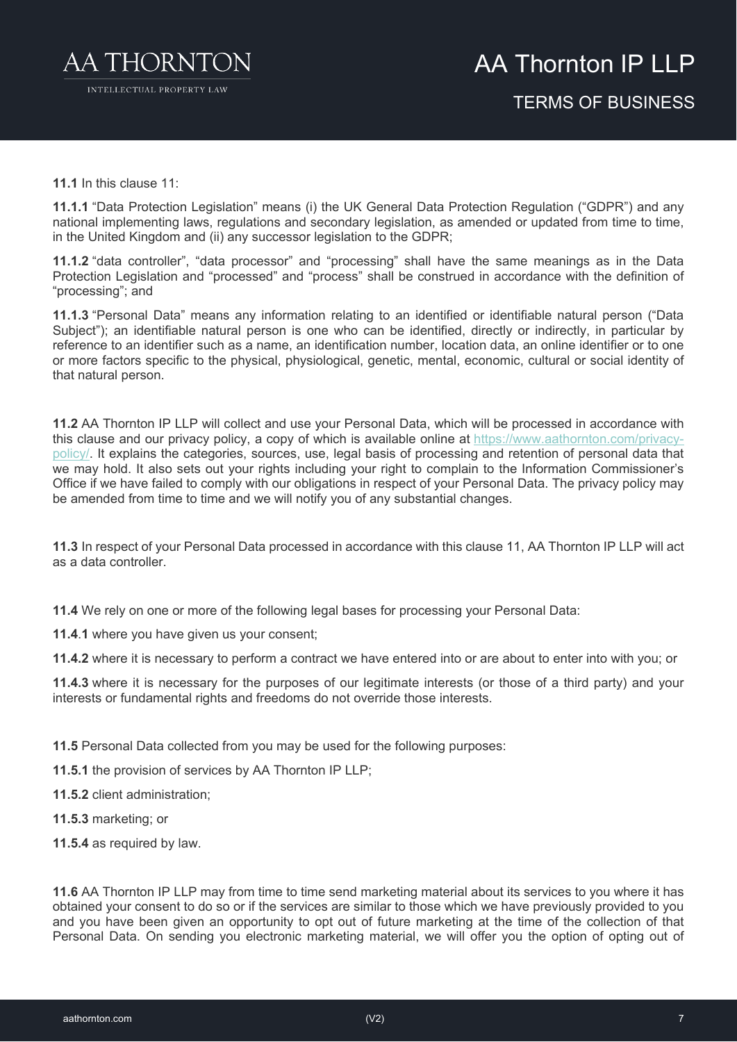

**11.1** In this clause 11:

**11.1.1** "Data Protection Legislation" means (i) the UK General Data Protection Regulation ("GDPR") and any national implementing laws, regulations and secondary legislation, as amended or updated from time to time, in the United Kingdom and (ii) any successor legislation to the GDPR;

**11.1.2** "data controller", "data processor" and "processing" shall have the same meanings as in the Data Protection Legislation and "processed" and "process" shall be construed in accordance with the definition of "processing"; and

**11.1.3** "Personal Data" means any information relating to an identified or identifiable natural person ("Data Subject"); an identifiable natural person is one who can be identified, directly or indirectly, in particular by reference to an identifier such as a name, an identification number, location data, an online identifier or to one or more factors specific to the physical, physiological, genetic, mental, economic, cultural or social identity of that natural person.

**11.2** AA Thornton IP LLP will collect and use your Personal Data, which will be processed in accordance with this clause and our privacy policy, a copy of which is available online at [https://www.aathornton.com/privacy](https://www.aathornton.com/privacy-policy/)[policy/.](https://www.aathornton.com/privacy-policy/) It explains the categories, sources, use, legal basis of processing and retention of personal data that we may hold. It also sets out your rights including your right to complain to the Information Commissioner's Office if we have failed to comply with our obligations in respect of your Personal Data. The privacy policy may be amended from time to time and we will notify you of any substantial changes.

**11.3** In respect of your Personal Data processed in accordance with this clause 11, AA Thornton IP LLP will act as a data controller.

**11.4** We rely on one or more of the following legal bases for processing your Personal Data:

**11.4**.**1** where you have given us your consent;

**11.4.2** where it is necessary to perform a contract we have entered into or are about to enter into with you; or

**11.4.3** where it is necessary for the purposes of our legitimate interests (or those of a third party) and your interests or fundamental rights and freedoms do not override those interests.

**11.5** Personal Data collected from you may be used for the following purposes:

**11.5.1** the provision of services by AA Thornton IP LLP;

**11.5.2** client administration;

**11.5.3** marketing; or

**11.5.4** as required by law.

**11.6** AA Thornton IP LLP may from time to time send marketing material about its services to you where it has obtained your consent to do so or if the services are similar to those which we have previously provided to you and you have been given an opportunity to opt out of future marketing at the time of the collection of that Personal Data. On sending you electronic marketing material, we will offer you the option of opting out of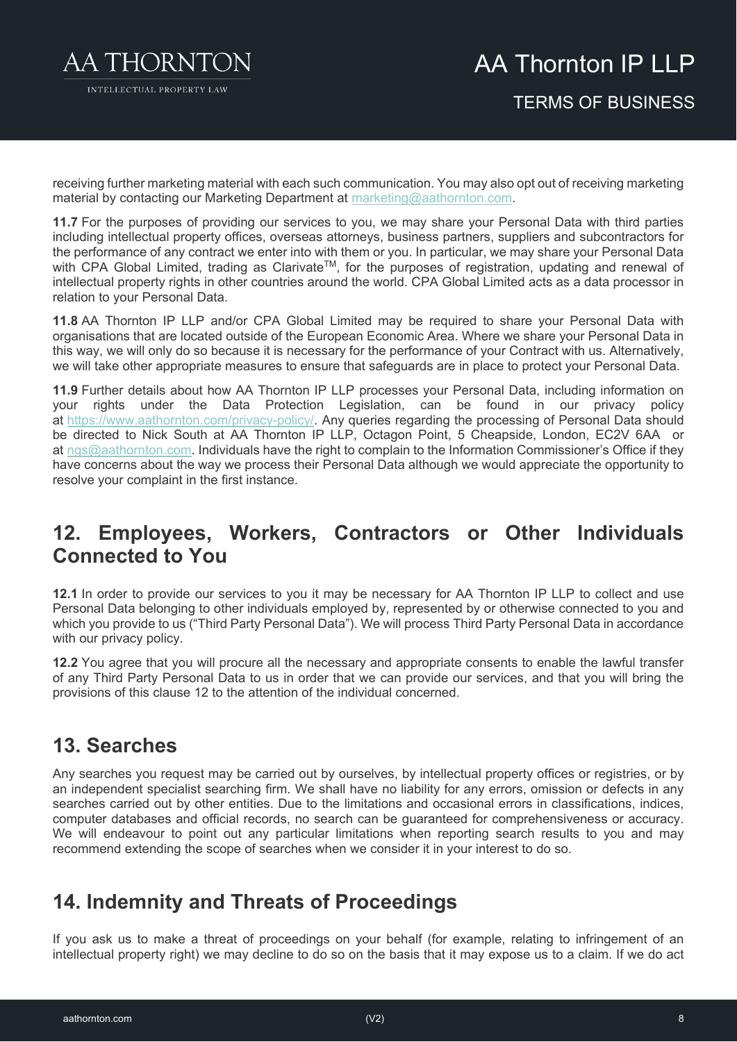

### AA Thornton IP I I P TERMS OF BUSINESS

receiving further marketing material with each such communication. You may also opt out of receiving marketing material by contacting our Marketing Department at [marketing@aathornton.com.](mailto:marketing@aathornton.com)

**11.7** For the purposes of providing our services to you, we may share your Personal Data with third parties including intellectual property offices, overseas attorneys, business partners, suppliers and subcontractors for the performance of any contract we enter into with them or you. In particular, we may share your Personal Data with CPA Global Limited, trading as Clarivate<sup>TM</sup>, for the purposes of registration, updating and renewal of intellectual property rights in other countries around the world. CPA Global Limited acts as a data processor in relation to your Personal Data.

**11.8** AA Thornton IP LLP and/or CPA Global Limited may be required to share your Personal Data with organisations that are located outside of the European Economic Area. Where we share your Personal Data in this way, we will only do so because it is necessary for the performance of your Contract with us. Alternatively, we will take other appropriate measures to ensure that safeguards are in place to protect your Personal Data.

**11.9** Further details about how AA Thornton IP LLP processes your Personal Data, including information on your rights under the Data Protection Legislation, can be found in our privacy policy at [https://www.aathornton.com/privacy-policy/.](https://www.aathornton.com/privacy-policy/) Any queries regarding the processing of Personal Data should be directed to Nick South at AA Thornton IP LLP, Octagon Point, 5 Cheapside, London, EC2V 6AA or at [ngs@aathornton.com.](mailto:ngs@aathornton.com) Individuals have the right to complain to the Information Commissioner's Office if they have concerns about the way we process their Personal Data although we would appreciate the opportunity to resolve your complaint in the first instance.

#### **12. Employees, Workers, Contractors or Other Individuals Connected to You**

**12.1** In order to provide our services to you it may be necessary for AA Thornton IP LLP to collect and use Personal Data belonging to other individuals employed by, represented by or otherwise connected to you and which you provide to us ("Third Party Personal Data"). We will process Third Party Personal Data in accordance with our privacy policy.

**12.2** You agree that you will procure all the necessary and appropriate consents to enable the lawful transfer of any Third Party Personal Data to us in order that we can provide our services, and that you will bring the provisions of this clause 12 to the attention of the individual concerned.

### **13. Searches**

Any searches you request may be carried out by ourselves, by intellectual property offices or registries, or by an independent specialist searching firm. We shall have no liability for any errors, omission or defects in any searches carried out by other entities. Due to the limitations and occasional errors in classifications, indices, computer databases and official records, no search can be guaranteed for comprehensiveness or accuracy. We will endeavour to point out any particular limitations when reporting search results to you and may recommend extending the scope of searches when we consider it in your interest to do so.

### **14. Indemnity and Threats of Proceedings**

If you ask us to make a threat of proceedings on your behalf (for example, relating to infringement of an intellectual property right) we may decline to do so on the basis that it may expose us to a claim. If we do act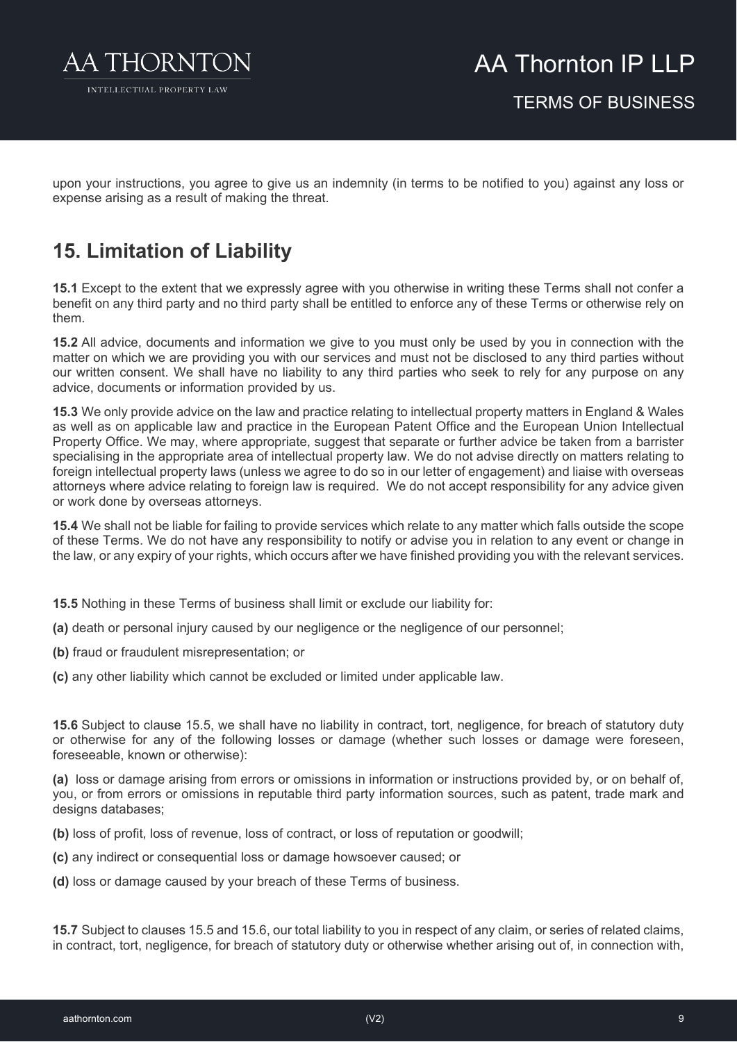

upon your instructions, you agree to give us an indemnity (in terms to be notified to you) against any loss or expense arising as a result of making the threat.

### **15. Limitation of Liability**

**15.1** Except to the extent that we expressly agree with you otherwise in writing these Terms shall not confer a benefit on any third party and no third party shall be entitled to enforce any of these Terms or otherwise rely on them.

**15.2** All advice, documents and information we give to you must only be used by you in connection with the matter on which we are providing you with our services and must not be disclosed to any third parties without our written consent. We shall have no liability to any third parties who seek to rely for any purpose on any advice, documents or information provided by us.

**15.3** We only provide advice on the law and practice relating to intellectual property matters in England & Wales as well as on applicable law and practice in the European Patent Office and the European Union Intellectual Property Office. We may, where appropriate, suggest that separate or further advice be taken from a barrister specialising in the appropriate area of intellectual property law. We do not advise directly on matters relating to foreign intellectual property laws (unless we agree to do so in our letter of engagement) and liaise with overseas attorneys where advice relating to foreign law is required. We do not accept responsibility for any advice given or work done by overseas attorneys.

**15.4** We shall not be liable for failing to provide services which relate to any matter which falls outside the scope of these Terms. We do not have any responsibility to notify or advise you in relation to any event or change in the law, or any expiry of your rights, which occurs after we have finished providing you with the relevant services.

- **15.5** Nothing in these Terms of business shall limit or exclude our liability for:
- **(a)** death or personal injury caused by our negligence or the negligence of our personnel;
- **(b)** fraud or fraudulent misrepresentation; or
- **(c)** any other liability which cannot be excluded or limited under applicable law.

**15.6** Subject to clause 15.5, we shall have no liability in contract, tort, negligence, for breach of statutory duty or otherwise for any of the following losses or damage (whether such losses or damage were foreseen, foreseeable, known or otherwise):

**(a)** loss or damage arising from errors or omissions in information or instructions provided by, or on behalf of, you, or from errors or omissions in reputable third party information sources, such as patent, trade mark and designs databases;

**(b)** loss of profit, loss of revenue, loss of contract, or loss of reputation or goodwill;

- **(c)** any indirect or consequential loss or damage howsoever caused; or
- **(d)** loss or damage caused by your breach of these Terms of business.

**15.7** Subject to clauses 15.5 and 15.6, our total liability to you in respect of any claim, or series of related claims, in contract, tort, negligence, for breach of statutory duty or otherwise whether arising out of, in connection with,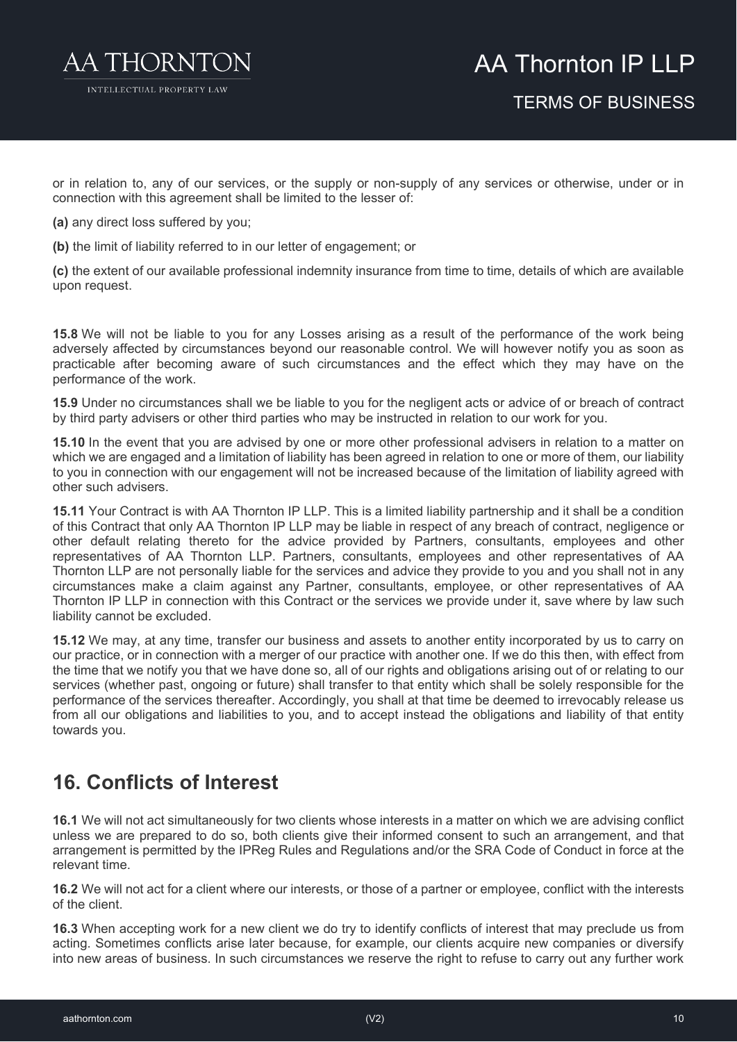

or in relation to, any of our services, or the supply or non-supply of any services or otherwise, under or in connection with this agreement shall be limited to the lesser of:

- **(a)** any direct loss suffered by you;
- **(b)** the limit of liability referred to in our letter of engagement; or

**(c)** the extent of our available professional indemnity insurance from time to time, details of which are available upon request.

**15.8** We will not be liable to you for any Losses arising as a result of the performance of the work being adversely affected by circumstances beyond our reasonable control. We will however notify you as soon as practicable after becoming aware of such circumstances and the effect which they may have on the performance of the work.

**15.9** Under no circumstances shall we be liable to you for the negligent acts or advice of or breach of contract by third party advisers or other third parties who may be instructed in relation to our work for you.

**15.10** In the event that you are advised by one or more other professional advisers in relation to a matter on which we are engaged and a limitation of liability has been agreed in relation to one or more of them, our liability to you in connection with our engagement will not be increased because of the limitation of liability agreed with other such advisers.

**15.11** Your Contract is with AA Thornton IP LLP. This is a limited liability partnership and it shall be a condition of this Contract that only AA Thornton IP LLP may be liable in respect of any breach of contract, negligence or other default relating thereto for the advice provided by Partners, consultants, employees and other representatives of AA Thornton LLP. Partners, consultants, employees and other representatives of AA Thornton LLP are not personally liable for the services and advice they provide to you and you shall not in any circumstances make a claim against any Partner, consultants, employee, or other representatives of AA Thornton IP LLP in connection with this Contract or the services we provide under it, save where by law such liability cannot be excluded.

**15.12** We may, at any time, transfer our business and assets to another entity incorporated by us to carry on our practice, or in connection with a merger of our practice with another one. If we do this then, with effect from the time that we notify you that we have done so, all of our rights and obligations arising out of or relating to our services (whether past, ongoing or future) shall transfer to that entity which shall be solely responsible for the performance of the services thereafter. Accordingly, you shall at that time be deemed to irrevocably release us from all our obligations and liabilities to you, and to accept instead the obligations and liability of that entity towards you.

### **16. Conflicts of Interest**

**16.1** We will not act simultaneously for two clients whose interests in a matter on which we are advising conflict unless we are prepared to do so, both clients give their informed consent to such an arrangement, and that arrangement is permitted by the IPReg Rules and Regulations and/or the SRA Code of Conduct in force at the relevant time.

**16.2** We will not act for a client where our interests, or those of a partner or employee, conflict with the interests of the client.

**16.3** When accepting work for a new client we do try to identify conflicts of interest that may preclude us from acting. Sometimes conflicts arise later because, for example, our clients acquire new companies or diversify into new areas of business. In such circumstances we reserve the right to refuse to carry out any further work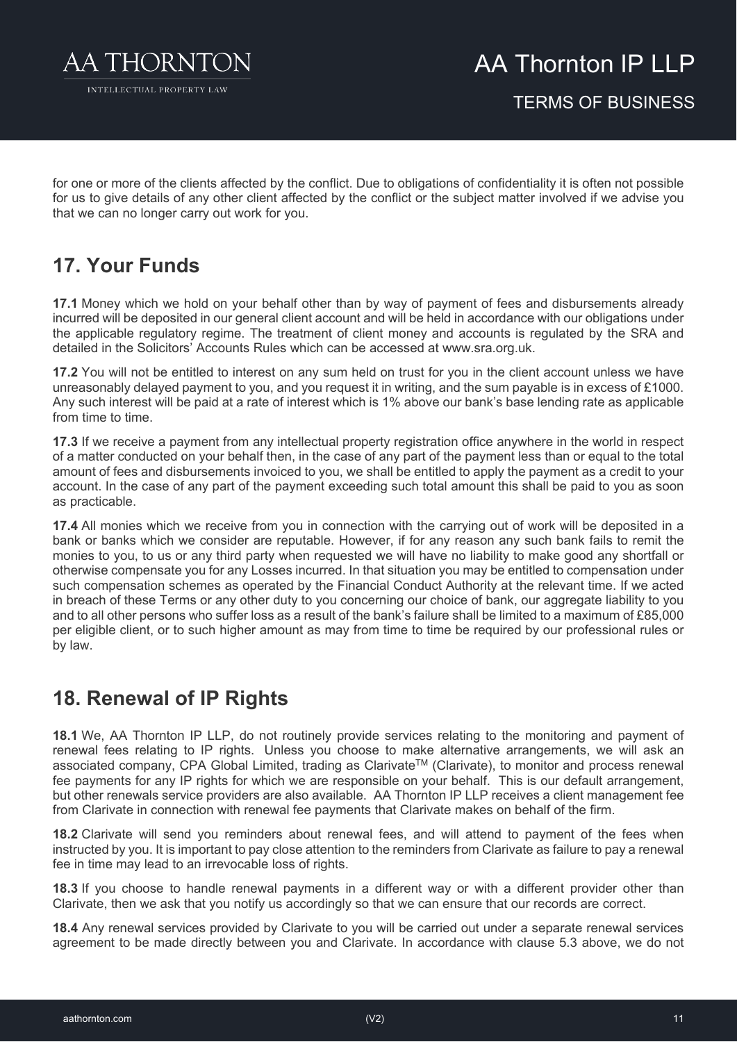

for one or more of the clients affected by the conflict. Due to obligations of confidentiality it is often not possible for us to give details of any other client affected by the conflict or the subject matter involved if we advise you that we can no longer carry out work for you.

### **17. Your Funds**

**17.1** Money which we hold on your behalf other than by way of payment of fees and disbursements already incurred will be deposited in our general client account and will be held in accordance with our obligations under the applicable regulatory regime. The treatment of client money and accounts is regulated by the SRA and detailed in the Solicitors' Accounts Rules which can be accessed at www.sra.org.uk.

**17.2** You will not be entitled to interest on any sum held on trust for you in the client account unless we have unreasonably delayed payment to you, and you request it in writing, and the sum payable is in excess of £1000. Any such interest will be paid at a rate of interest which is 1% above our bank's base lending rate as applicable from time to time.

**17.3** If we receive a payment from any intellectual property registration office anywhere in the world in respect of a matter conducted on your behalf then, in the case of any part of the payment less than or equal to the total amount of fees and disbursements invoiced to you, we shall be entitled to apply the payment as a credit to your account. In the case of any part of the payment exceeding such total amount this shall be paid to you as soon as practicable.

**17.4** All monies which we receive from you in connection with the carrying out of work will be deposited in a bank or banks which we consider are reputable. However, if for any reason any such bank fails to remit the monies to you, to us or any third party when requested we will have no liability to make good any shortfall or otherwise compensate you for any Losses incurred. In that situation you may be entitled to compensation under such compensation schemes as operated by the Financial Conduct Authority at the relevant time. If we acted in breach of these Terms or any other duty to you concerning our choice of bank, our aggregate liability to you and to all other persons who suffer loss as a result of the bank's failure shall be limited to a maximum of £85,000 per eligible client, or to such higher amount as may from time to time be required by our professional rules or by law.

### **18. Renewal of IP Rights**

**18.1** We, AA Thornton IP LLP, do not routinely provide services relating to the monitoring and payment of renewal fees relating to IP rights. Unless you choose to make alternative arrangements, we will ask an associated company, CPA Global Limited, trading as Clarivate™ (Clarivate), to monitor and process renewal fee payments for any IP rights for which we are responsible on your behalf. This is our default arrangement, but other renewals service providers are also available. AA Thornton IP LLP receives a client management fee from Clarivate in connection with renewal fee payments that Clarivate makes on behalf of the firm.

**18.2** Clarivate will send you reminders about renewal fees, and will attend to payment of the fees when instructed by you. It is important to pay close attention to the reminders from Clarivate as failure to pay a renewal fee in time may lead to an irrevocable loss of rights.

**18.3** If you choose to handle renewal payments in a different way or with a different provider other than Clarivate, then we ask that you notify us accordingly so that we can ensure that our records are correct.

**18.4** Any renewal services provided by Clarivate to you will be carried out under a separate renewal services agreement to be made directly between you and Clarivate. In accordance with clause 5.3 above, we do not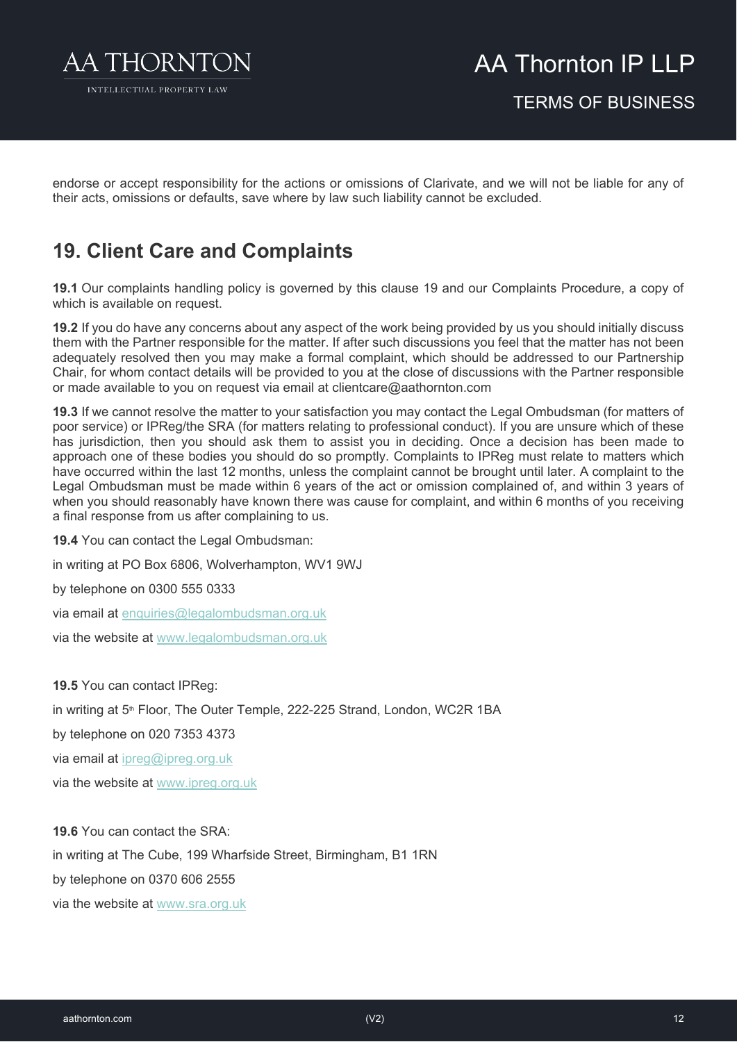

endorse or accept responsibility for the actions or omissions of Clarivate, and we will not be liable for any of their acts, omissions or defaults, save where by law such liability cannot be excluded.

### **19. Client Care and Complaints**

**19.1** Our complaints handling policy is governed by this clause 19 and our Complaints Procedure, a copy of which is available on request.

**19.2** If you do have any concerns about any aspect of the work being provided by us you should initially discuss them with the Partner responsible for the matter. If after such discussions you feel that the matter has not been adequately resolved then you may make a formal complaint, which should be addressed to our Partnership Chair, for whom contact details will be provided to you at the close of discussions with the Partner responsible or made available to you on request via email at clientcare@aathornton.com

**19.3** If we cannot resolve the matter to your satisfaction you may contact the Legal Ombudsman (for matters of poor service) or IPReg/the SRA (for matters relating to professional conduct). If you are unsure which of these has jurisdiction, then you should ask them to assist you in deciding. Once a decision has been made to approach one of these bodies you should do so promptly. Complaints to IPReg must relate to matters which have occurred within the last 12 months, unless the complaint cannot be brought until later. A complaint to the Legal Ombudsman must be made within 6 years of the act or omission complained of, and within 3 years of when you should reasonably have known there was cause for complaint, and within 6 months of you receiving a final response from us after complaining to us.

**19.4** You can contact the Legal Ombudsman:

in writing at PO Box 6806, Wolverhampton, WV1 9WJ

by telephone on 0300 555 0333

via email at [enquiries@legalombudsman.org.uk](mailto:enquiries@legalombudsman.org.uk)

via the website at [www.legalombudsman.org.uk](http://www.legalombudsman.org.uk/)

**19.5** You can contact IPReg:

in writing at 5<sup>th</sup> Floor, The Outer Temple, 222-225 Strand, London, WC2R 1BA

by telephone on 020 7353 4373

via email at [ipreg@ipreg.org.uk](mailto:ipreg@ipreg.org.uk)

via the website at [www.ipreg.org.uk](http://www.ipreg.org.uk/)

**19.6** You can contact the SRA:

in writing at The Cube, 199 Wharfside Street, Birmingham, B1 1RN

by telephone on 0370 606 2555

via the website at [www.sra.org.uk](http://www.sra.org.uk/)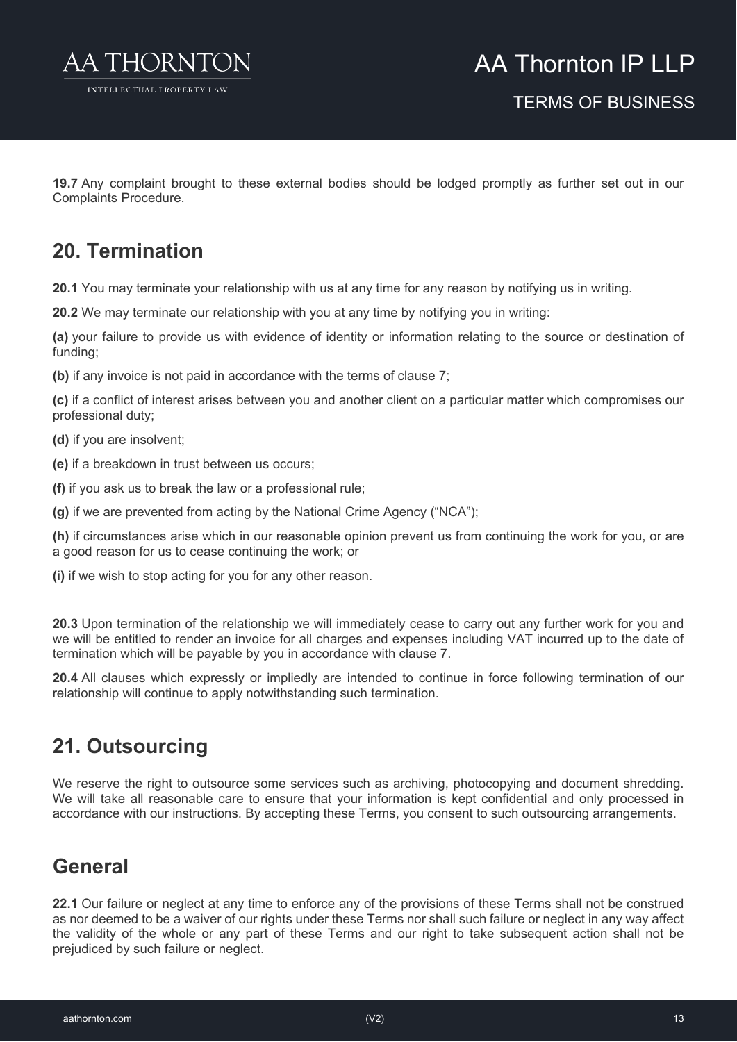

**19.7** Any complaint brought to these external bodies should be lodged promptly as further set out in our Complaints Procedure.

### **20. Termination**

**20.1** You may terminate your relationship with us at any time for any reason by notifying us in writing.

**20.2** We may terminate our relationship with you at any time by notifying you in writing:

**(a)** your failure to provide us with evidence of identity or information relating to the source or destination of funding;

**(b)** if any invoice is not paid in accordance with the terms of clause 7;

**(c)** if a conflict of interest arises between you and another client on a particular matter which compromises our professional duty;

**(d)** if you are insolvent;

**(e)** if a breakdown in trust between us occurs;

**(f)** if you ask us to break the law or a professional rule;

**(g)** if we are prevented from acting by the National Crime Agency ("NCA");

**(h)** if circumstances arise which in our reasonable opinion prevent us from continuing the work for you, or are a good reason for us to cease continuing the work; or

**(i)** if we wish to stop acting for you for any other reason.

**20.3** Upon termination of the relationship we will immediately cease to carry out any further work for you and we will be entitled to render an invoice for all charges and expenses including VAT incurred up to the date of termination which will be payable by you in accordance with clause 7.

**20.4** All clauses which expressly or impliedly are intended to continue in force following termination of our relationship will continue to apply notwithstanding such termination.

### **21. Outsourcing**

We reserve the right to outsource some services such as archiving, photocopying and document shredding. We will take all reasonable care to ensure that your information is kept confidential and only processed in accordance with our instructions. By accepting these Terms, you consent to such outsourcing arrangements.

### **General**

**22.1** Our failure or neglect at any time to enforce any of the provisions of these Terms shall not be construed as nor deemed to be a waiver of our rights under these Terms nor shall such failure or neglect in any way affect the validity of the whole or any part of these Terms and our right to take subsequent action shall not be prejudiced by such failure or neglect.